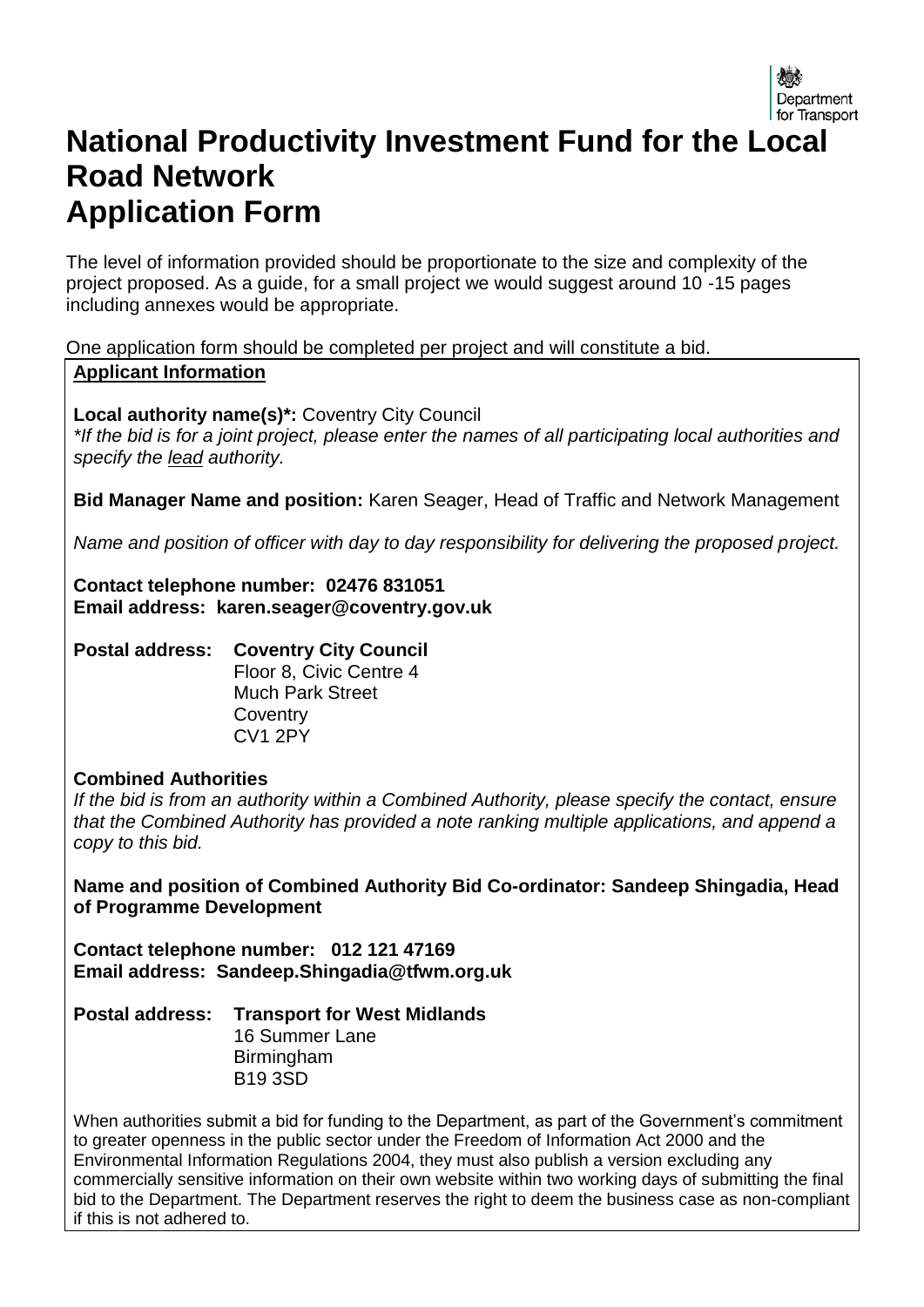# **National Productivity Investment Fund for the Local Road Network Application Form**

The level of information provided should be proportionate to the size and complexity of the project proposed. As a guide, for a small project we would suggest around 10 -15 pages including annexes would be appropriate.

One application form should be completed per project and will constitute a bid.

#### **Applicant Information**

**Local authority name(s)\*:** Coventry City Council *\*If the bid is for a joint project, please enter the names of all participating local authorities and specify the lead authority.*

**Bid Manager Name and position:** Karen Seager, Head of Traffic and Network Management

*Name and position of officer with day to day responsibility for delivering the proposed project.* 

**Contact telephone number: 02476 831051 Email address: karen.seager@coventry.gov.uk** 

**Postal address: Coventry City Council** Floor 8, Civic Centre 4 Much Park Street **Coventry** CV1 2PY

#### **Combined Authorities**

*If the bid is from an authority within a Combined Authority, please specify the contact, ensure that the Combined Authority has provided a note ranking multiple applications, and append a copy to this bid.*

**Name and position of Combined Authority Bid Co-ordinator: Sandeep Shingadia, Head of Programme Development**

**Contact telephone number: 012 121 47169 Email address: Sandeep.Shingadia@tfwm.org.uk**

**Postal address: Transport for West Midlands**

16 Summer Lane Birmingham B19 3SD

When authorities submit a bid for funding to the Department, as part of the Government's commitment to greater openness in the public sector under the Freedom of Information Act 2000 and the Environmental Information Regulations 2004, they must also publish a version excluding any commercially sensitive information on their own website within two working days of submitting the final bid to the Department. The Department reserves the right to deem the business case as non-compliant if this is not adhered to.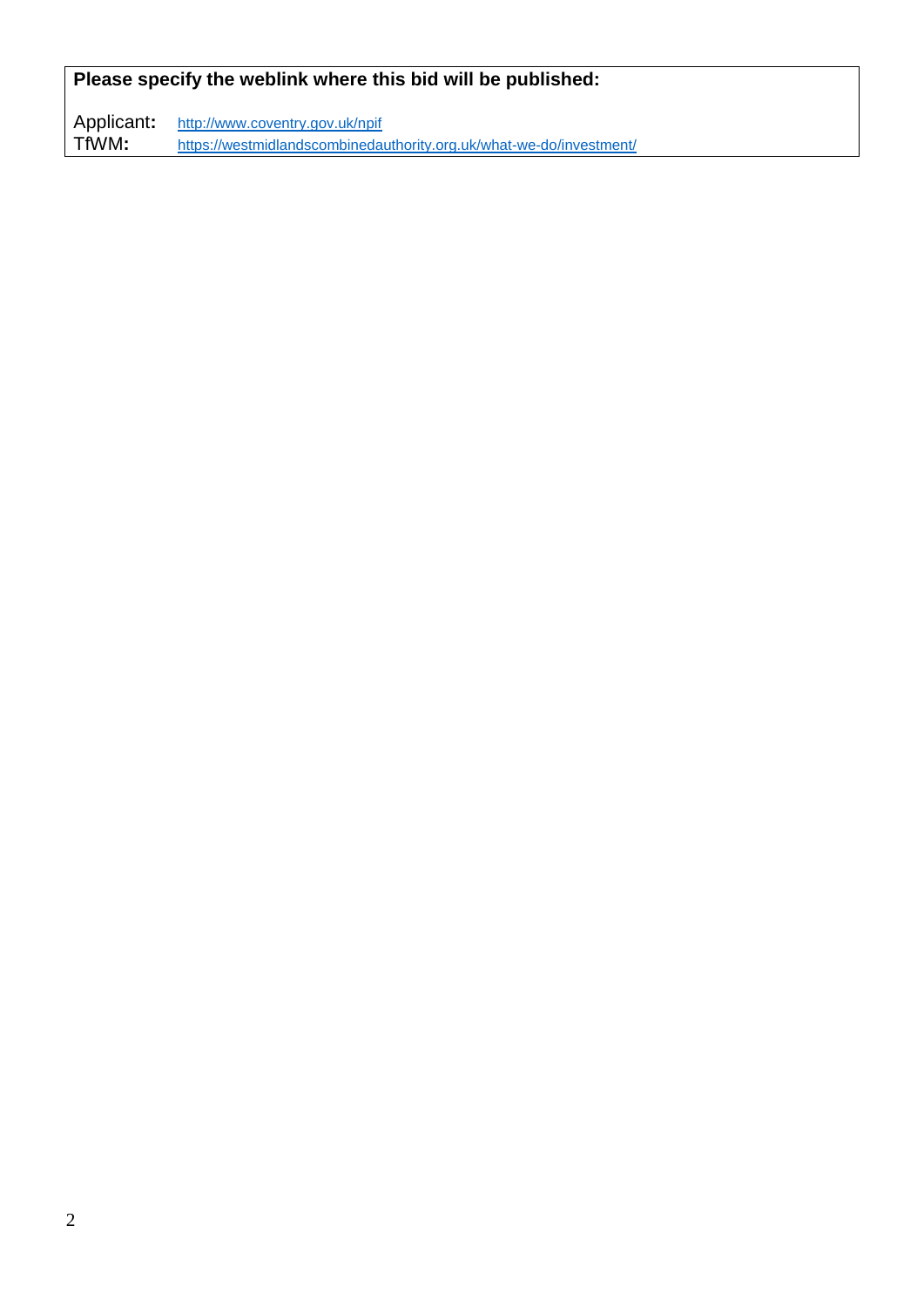## **Please specify the weblink where this bid will be published:**

Applicant: http://www.coventry.gov.uk/npif<br>TfWM: https://westmidlandscombinedau [https://westmidlandscombinedauthority.org.uk/what-we-do/investment/](https://protect-eu.mimecast.com/s/k3KYBCLWzkin)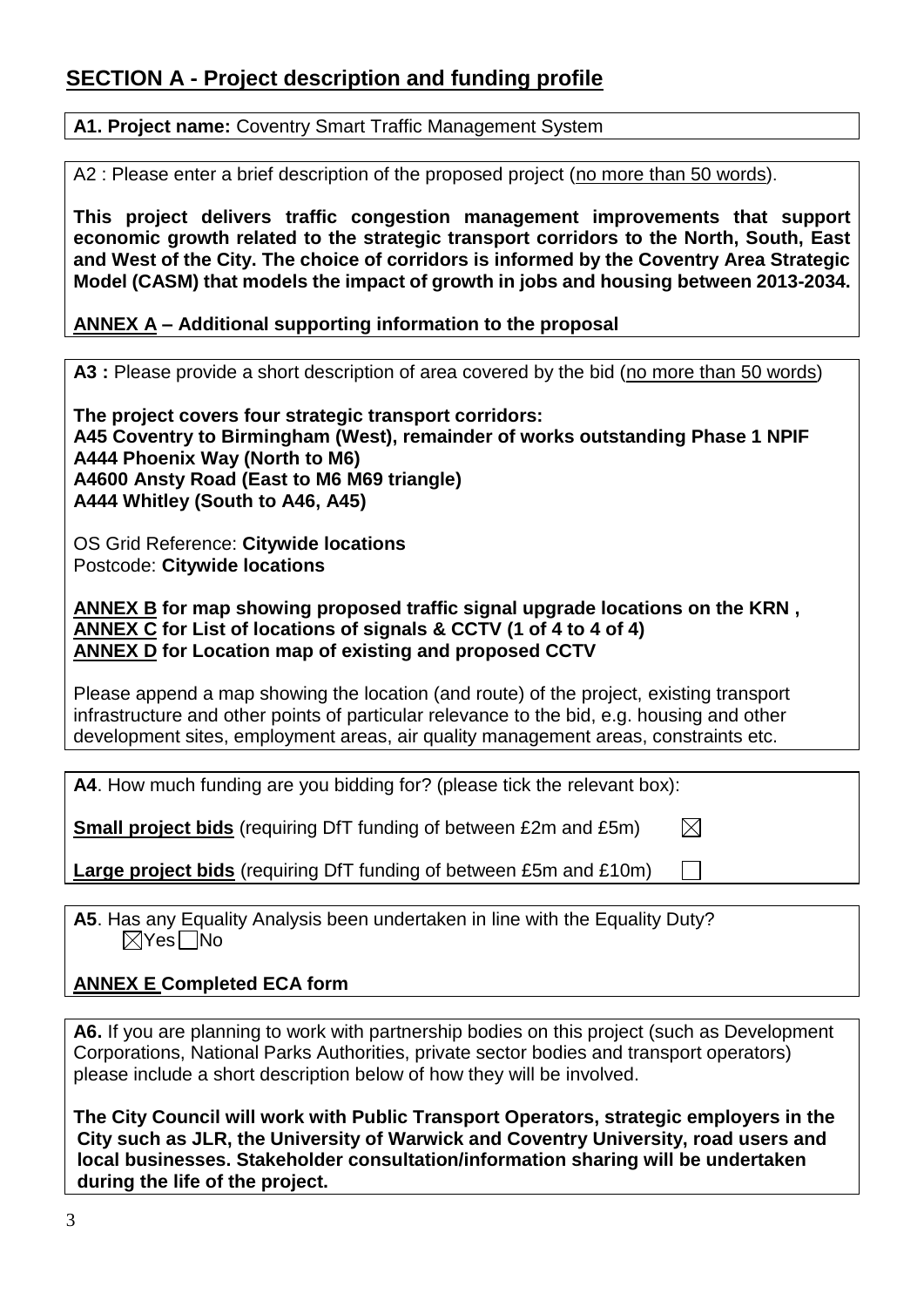# **SECTION A - Project description and funding profile**

#### **A1. Project name:** Coventry Smart Traffic Management System

A2 : Please enter a brief description of the proposed project (no more than 50 words).

**This project delivers traffic congestion management improvements that support economic growth related to the strategic transport corridors to the North, South, East and West of the City. The choice of corridors is informed by the Coventry Area Strategic Model (CASM) that models the impact of growth in jobs and housing between 2013-2034.**

#### **ANNEX A – Additional supporting information to the proposal**

**A3 :** Please provide a short description of area covered by the bid (no more than 50 words)

**The project covers four strategic transport corridors: A45 Coventry to Birmingham (West), remainder of works outstanding Phase 1 NPIF A444 Phoenix Way (North to M6) A4600 Ansty Road (East to M6 M69 triangle) A444 Whitley (South to A46, A45)**

OS Grid Reference: **Citywide locations** Postcode: **Citywide locations**

**ANNEX B for map showing proposed traffic signal upgrade locations on the KRN , ANNEX C for List of locations of signals & CCTV (1 of 4 to 4 of 4) ANNEX D for Location map of existing and proposed CCTV**

Please append a map showing the location (and route) of the project, existing transport infrastructure and other points of particular relevance to the bid, e.g. housing and other development sites, employment areas, air quality management areas, constraints etc.

 $\boxtimes$ 

**A4**. How much funding are you bidding for? (please tick the relevant box):

**Small project bids** (requiring DfT funding of between £2m and £5m)

**Large project bids** (requiring DfT funding of between £5m and £10m)

**A5**. Has any Equality Analysis been undertaken in line with the Equality Duty?  $\boxtimes$ Yes $\Box$ No

#### **ANNEX E Completed ECA form**

**A6.** If you are planning to work with partnership bodies on this project (such as Development Corporations, National Parks Authorities, private sector bodies and transport operators) please include a short description below of how they will be involved.

**The City Council will work with Public Transport Operators, strategic employers in the City such as JLR, the University of Warwick and Coventry University, road users and local businesses. Stakeholder consultation/information sharing will be undertaken during the life of the project.**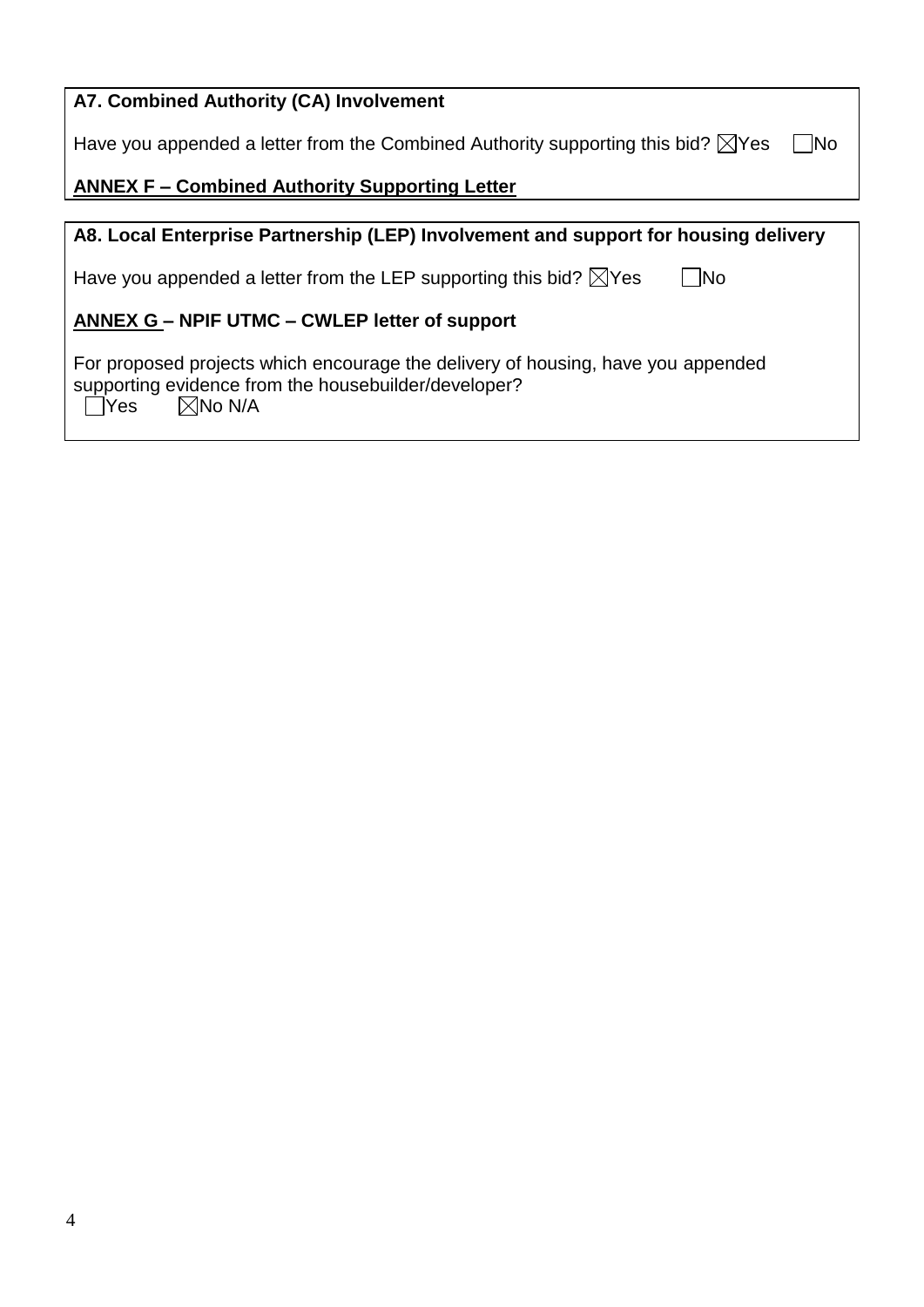| A7. Combined Authority (CA) Involvement                                                                                                                               |
|-----------------------------------------------------------------------------------------------------------------------------------------------------------------------|
| Have you appended a letter from the Combined Authority supporting this bid? $\boxtimes$ Yes<br>No                                                                     |
| <b>ANNEX F - Combined Authority Supporting Letter</b>                                                                                                                 |
|                                                                                                                                                                       |
| A8. Local Enterprise Partnership (LEP) Involvement and support for housing delivery                                                                                   |
| 1No<br>Have you appended a letter from the LEP supporting this bid? $\boxtimes$ Yes                                                                                   |
| <b>ANNEX G – NPIF UTMC – CWLEP letter of support</b>                                                                                                                  |
| For proposed projects which encourage the delivery of housing, have you appended<br>supporting evidence from the housebuilder/developer?<br>$\boxtimes$ No N/A<br>Yes |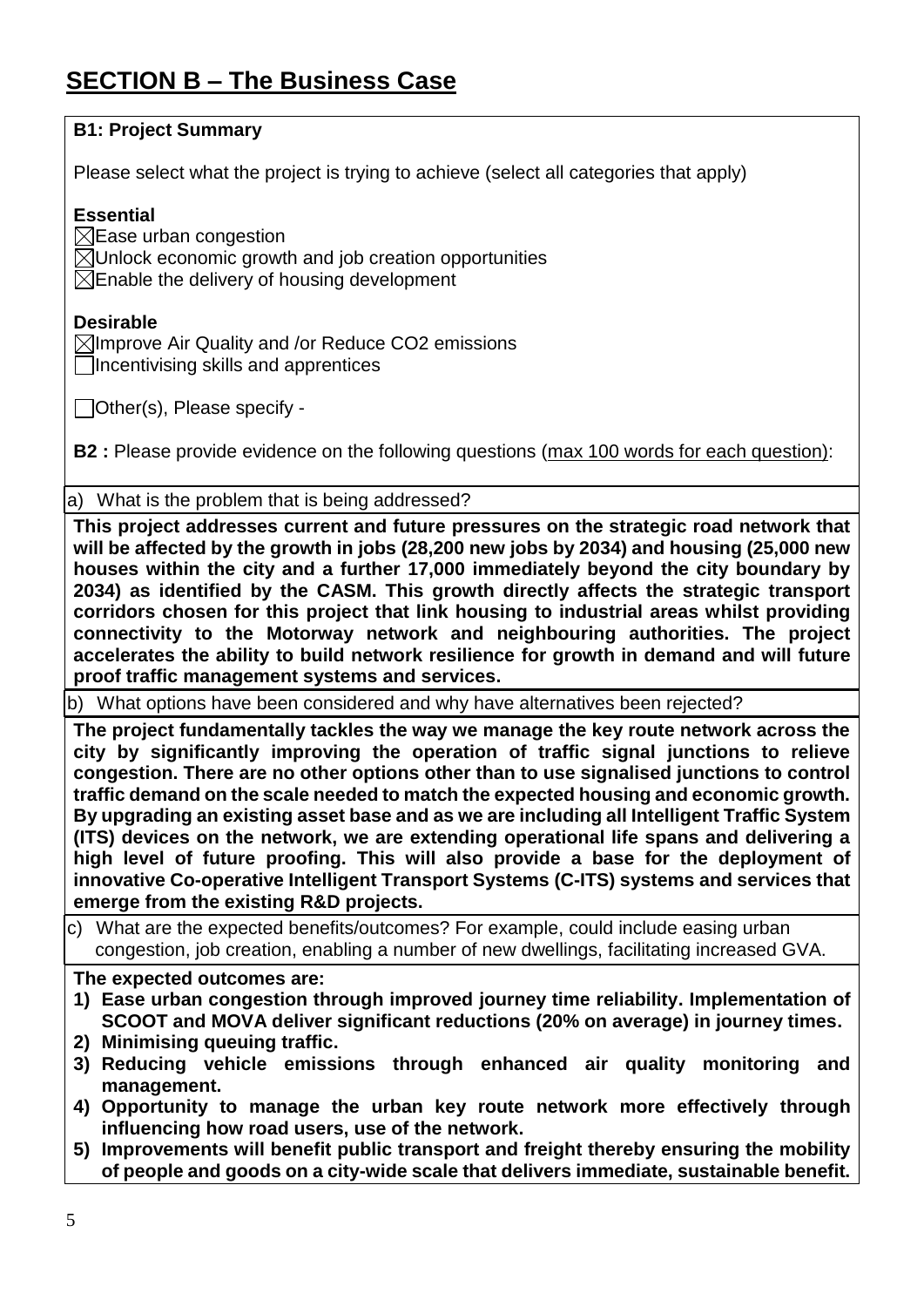# **SECTION B – The Business Case**

| Please select what the project is trying to achieve (select all categories that apply)                                                                                                                                                                                                                                                                                                                                                                                                                                                                                                                                                                                                                                                                                               |
|--------------------------------------------------------------------------------------------------------------------------------------------------------------------------------------------------------------------------------------------------------------------------------------------------------------------------------------------------------------------------------------------------------------------------------------------------------------------------------------------------------------------------------------------------------------------------------------------------------------------------------------------------------------------------------------------------------------------------------------------------------------------------------------|
| <b>Essential</b><br>$\boxtimes$ Ease urban congestion<br>$\boxtimes$ Unlock economic growth and job creation opportunities<br>$\boxtimes$ Enable the delivery of housing development                                                                                                                                                                                                                                                                                                                                                                                                                                                                                                                                                                                                 |
| <b>Desirable</b><br>$\boxtimes$ Improve Air Quality and /or Reduce CO2 emissions<br>Incentivising skills and apprentices                                                                                                                                                                                                                                                                                                                                                                                                                                                                                                                                                                                                                                                             |
| $\Box$ Other(s), Please specify -                                                                                                                                                                                                                                                                                                                                                                                                                                                                                                                                                                                                                                                                                                                                                    |
| <b>B2</b> : Please provide evidence on the following questions (max 100 words for each question):                                                                                                                                                                                                                                                                                                                                                                                                                                                                                                                                                                                                                                                                                    |
| a) What is the problem that is being addressed?                                                                                                                                                                                                                                                                                                                                                                                                                                                                                                                                                                                                                                                                                                                                      |
| This project addresses current and future pressures on the strategic road network that<br>will be affected by the growth in jobs (28,200 new jobs by 2034) and housing (25,000 new<br>houses within the city and a further 17,000 immediately beyond the city boundary by<br>2034) as identified by the CASM. This growth directly affects the strategic transport<br>corridors chosen for this project that link housing to industrial areas whilst providing                                                                                                                                                                                                                                                                                                                       |
| connectivity to the Motorway network and neighbouring authorities. The project<br>accelerates the ability to build network resilience for growth in demand and will future                                                                                                                                                                                                                                                                                                                                                                                                                                                                                                                                                                                                           |
| proof traffic management systems and services.<br>b) What options have been considered and why have alternatives been rejected?                                                                                                                                                                                                                                                                                                                                                                                                                                                                                                                                                                                                                                                      |
| The project fundamentally tackles the way we manage the key route network across the<br>city by significantly improving the operation of traffic signal junctions to relieve<br>congestion. There are no other options other than to use signalised junctions to control<br>traffic demand on the scale needed to match the expected housing and economic growth.<br>By upgrading an existing asset base and as we are including all Intelligent Traffic System<br>(ITS) devices on the network, we are extending operational life spans and delivering a<br>high level of future proofing. This will also provide a base for the deployment of<br>innovative Co-operative Intelligent Transport Systems (C-ITS) systems and services that<br>emerge from the existing R&D projects. |
| c) What are the expected benefits/outcomes? For example, could include easing urban<br>congestion, job creation, enabling a number of new dwellings, facilitating increased GVA.                                                                                                                                                                                                                                                                                                                                                                                                                                                                                                                                                                                                     |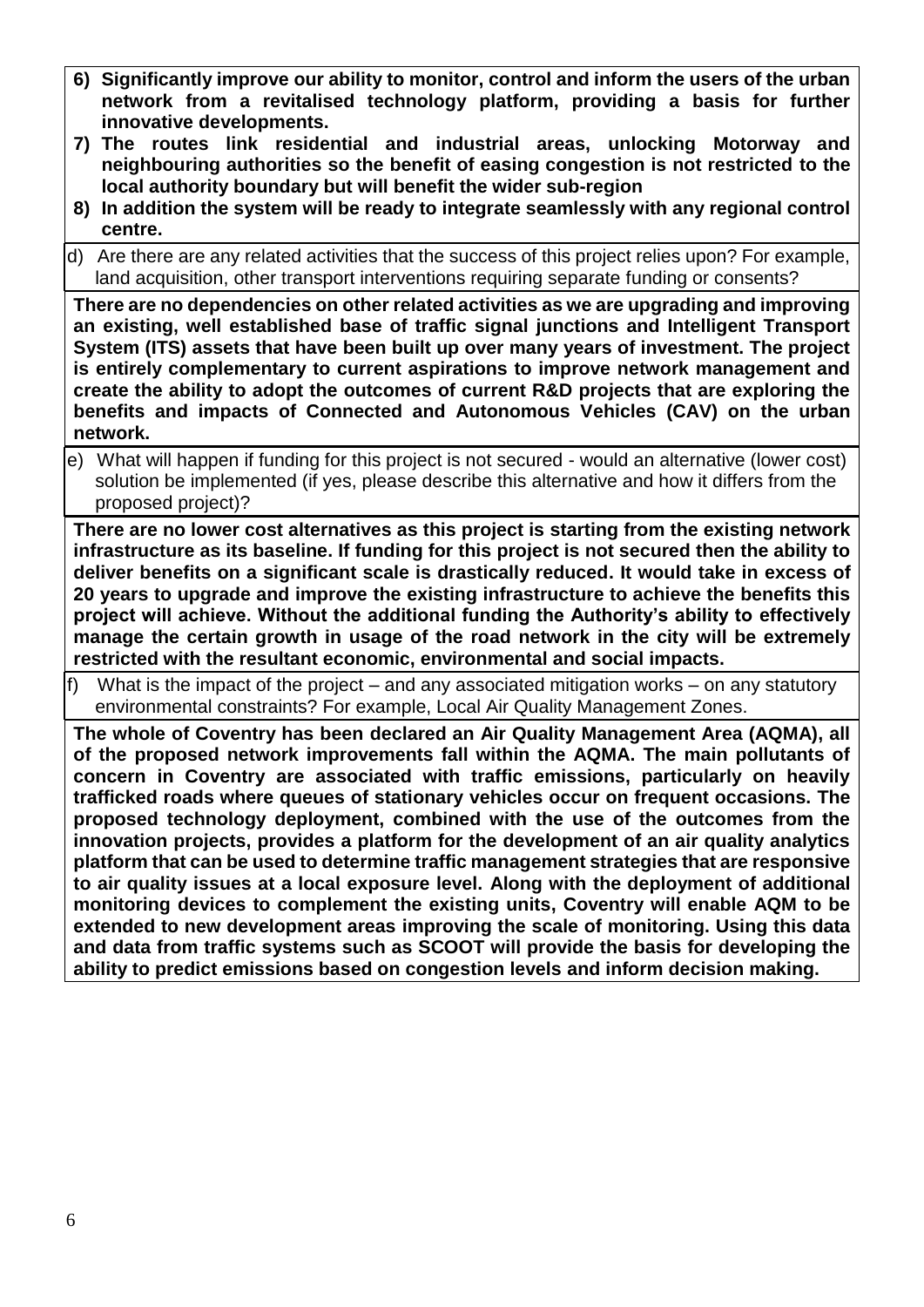- **6) Significantly improve our ability to monitor, control and inform the users of the urban network from a revitalised technology platform, providing a basis for further innovative developments.**
- **7) The routes link residential and industrial areas, unlocking Motorway and neighbouring authorities so the benefit of easing congestion is not restricted to the local authority boundary but will benefit the wider sub-region**
- **8) In addition the system will be ready to integrate seamlessly with any regional control centre.**
- d) Are there are any related activities that the success of this project relies upon? For example, land acquisition, other transport interventions requiring separate funding or consents?

**There are no dependencies on other related activities as we are upgrading and improving an existing, well established base of traffic signal junctions and Intelligent Transport System (ITS) assets that have been built up over many years of investment. The project is entirely complementary to current aspirations to improve network management and create the ability to adopt the outcomes of current R&D projects that are exploring the benefits and impacts of Connected and Autonomous Vehicles (CAV) on the urban network.**

e) What will happen if funding for this project is not secured - would an alternative (lower cost) solution be implemented (if yes, please describe this alternative and how it differs from the proposed project)?

**There are no lower cost alternatives as this project is starting from the existing network infrastructure as its baseline. If funding for this project is not secured then the ability to deliver benefits on a significant scale is drastically reduced. It would take in excess of 20 years to upgrade and improve the existing infrastructure to achieve the benefits this project will achieve. Without the additional funding the Authority's ability to effectively manage the certain growth in usage of the road network in the city will be extremely restricted with the resultant economic, environmental and social impacts.**

f) What is the impact of the project – and any associated mitigation works – on any statutory environmental constraints? For example, Local Air Quality Management Zones.

**The whole of Coventry has been declared an Air Quality Management Area (AQMA), all of the proposed network improvements fall within the AQMA. The main pollutants of concern in Coventry are associated with traffic emissions, particularly on heavily trafficked roads where queues of stationary vehicles occur on frequent occasions. The proposed technology deployment, combined with the use of the outcomes from the innovation projects, provides a platform for the development of an air quality analytics platform that can be used to determine traffic management strategies that are responsive to air quality issues at a local exposure level. Along with the deployment of additional monitoring devices to complement the existing units, Coventry will enable AQM to be extended to new development areas improving the scale of monitoring. Using this data and data from traffic systems such as SCOOT will provide the basis for developing the ability to predict emissions based on congestion levels and inform decision making.**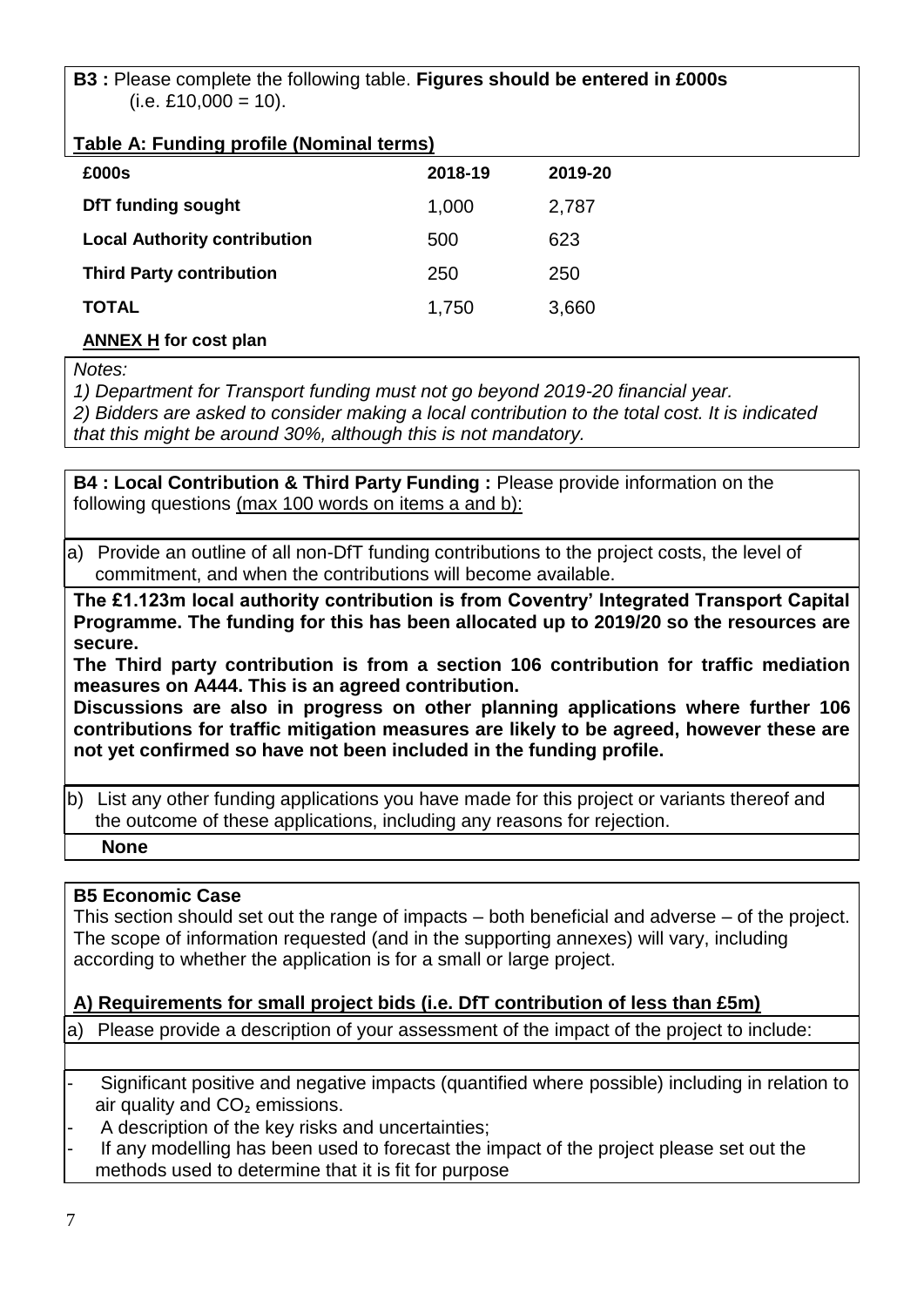**B3 :** Please complete the following table. **Figures should be entered in £000s**  $(i.e. £10,000 = 10).$ 

#### **Table A: Funding profile (Nominal terms)**

| . .                                 |         |         |
|-------------------------------------|---------|---------|
| £000s                               | 2018-19 | 2019-20 |
| <b>DfT funding sought</b>           | 1,000   | 2,787   |
| <b>Local Authority contribution</b> | 500     | 623     |
| <b>Third Party contribution</b>     | 250     | 250     |
| <b>TOTAL</b>                        | 1,750   | 3,660   |
| <b>ANNEX H for cost plan</b>        |         |         |

*Notes:*

*1) Department for Transport funding must not go beyond 2019-20 financial year.*

*2) Bidders are asked to consider making a local contribution to the total cost. It is indicated that this might be around 30%, although this is not mandatory.*

**B4 : Local Contribution & Third Party Funding :** Please provide information on the following questions (max 100 words on items a and b):

a) Provide an outline of all non-DfT funding contributions to the project costs, the level of commitment, and when the contributions will become available.

**The £1.123m local authority contribution is from Coventry' Integrated Transport Capital Programme. The funding for this has been allocated up to 2019/20 so the resources are secure.**

**The Third party contribution is from a section 106 contribution for traffic mediation measures on A444. This is an agreed contribution.**

**Discussions are also in progress on other planning applications where further 106 contributions for traffic mitigation measures are likely to be agreed, however these are not yet confirmed so have not been included in the funding profile.**

b) List any other funding applications you have made for this project or variants thereof and the outcome of these applications, including any reasons for rejection.

**None**

#### **B5 Economic Case**

This section should set out the range of impacts – both beneficial and adverse – of the project. The scope of information requested (and in the supporting annexes) will vary, including according to whether the application is for a small or large project.

#### **A) Requirements for small project bids (i.e. DfT contribution of less than £5m)**

a) Please provide a description of your assessment of the impact of the project to include:

- Significant positive and negative impacts (quantified where possible) including in relation to air quality and CO<sub>2</sub> emissions.
- A description of the key risks and uncertainties;
- If any modelling has been used to forecast the impact of the project please set out the methods used to determine that it is fit for purpose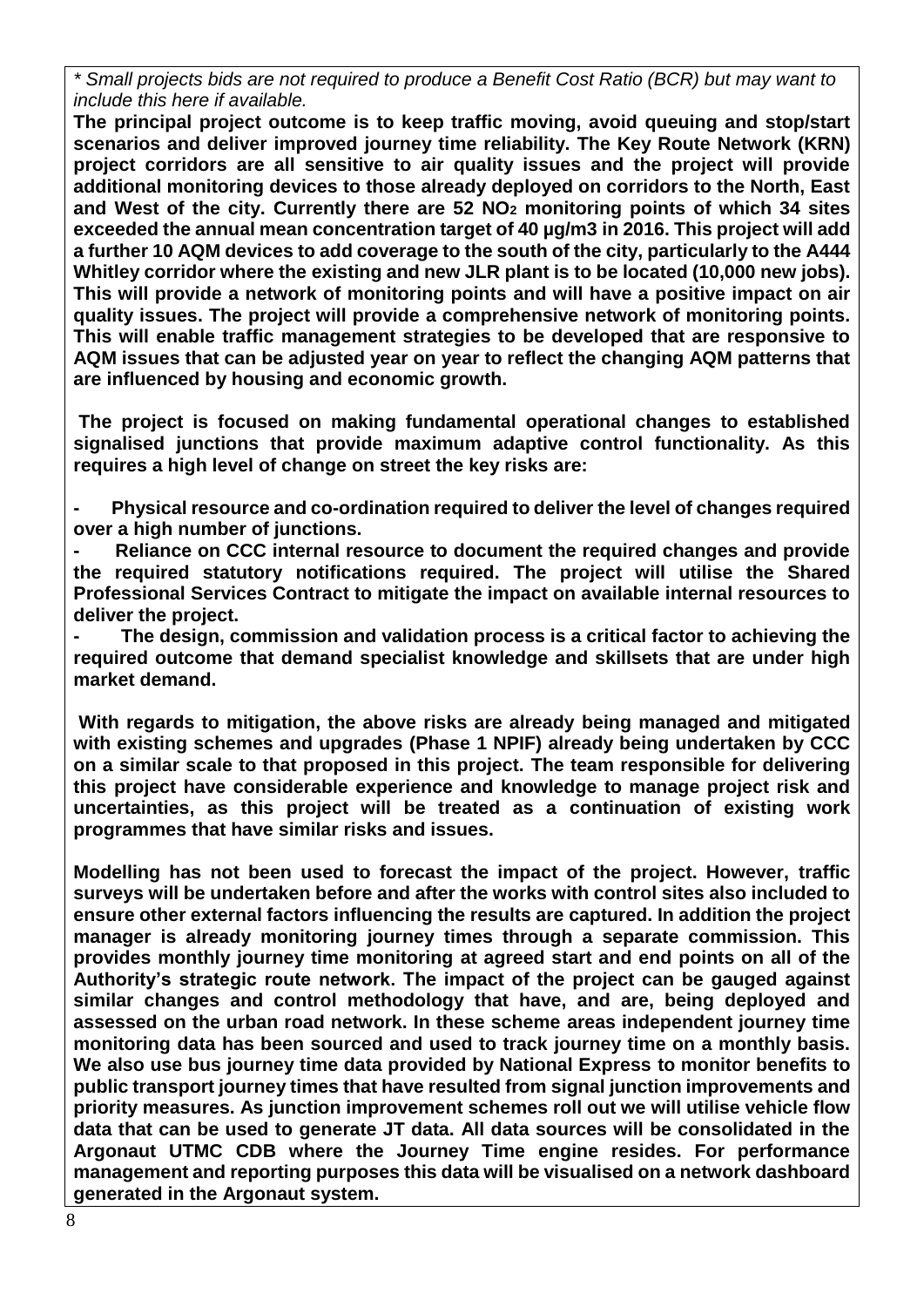*\* Small projects bids are not required to produce a Benefit Cost Ratio (BCR) but may want to include this here if available.*

**The principal project outcome is to keep traffic moving, avoid queuing and stop/start scenarios and deliver improved journey time reliability. The Key Route Network (KRN) project corridors are all sensitive to air quality issues and the project will provide additional monitoring devices to those already deployed on corridors to the North, East and West of the city. Currently there are 52 NO<sup>2</sup> monitoring points of which 34 sites exceeded the annual mean concentration target of 40 µg/m3 in 2016. This project will add a further 10 AQM devices to add coverage to the south of the city, particularly to the A444 Whitley corridor where the existing and new JLR plant is to be located (10,000 new jobs). This will provide a network of monitoring points and will have a positive impact on air quality issues. The project will provide a comprehensive network of monitoring points. This will enable traffic management strategies to be developed that are responsive to AQM issues that can be adjusted year on year to reflect the changing AQM patterns that are influenced by housing and economic growth.**

**The project is focused on making fundamental operational changes to established signalised junctions that provide maximum adaptive control functionality. As this requires a high level of change on street the key risks are:**

**- Physical resource and co-ordination required to deliver the level of changes required over a high number of junctions.**

**- Reliance on CCC internal resource to document the required changes and provide the required statutory notifications required. The project will utilise the Shared Professional Services Contract to mitigate the impact on available internal resources to deliver the project.**

**- The design, commission and validation process is a critical factor to achieving the required outcome that demand specialist knowledge and skillsets that are under high market demand.**

**With regards to mitigation, the above risks are already being managed and mitigated with existing schemes and upgrades (Phase 1 NPIF) already being undertaken by CCC on a similar scale to that proposed in this project. The team responsible for delivering this project have considerable experience and knowledge to manage project risk and uncertainties, as this project will be treated as a continuation of existing work programmes that have similar risks and issues.**

**Modelling has not been used to forecast the impact of the project. However, traffic surveys will be undertaken before and after the works with control sites also included to ensure other external factors influencing the results are captured. In addition the project manager is already monitoring journey times through a separate commission. This provides monthly journey time monitoring at agreed start and end points on all of the Authority's strategic route network. The impact of the project can be gauged against similar changes and control methodology that have, and are, being deployed and assessed on the urban road network. In these scheme areas independent journey time monitoring data has been sourced and used to track journey time on a monthly basis. We also use bus journey time data provided by National Express to monitor benefits to public transport journey times that have resulted from signal junction improvements and priority measures. As junction improvement schemes roll out we will utilise vehicle flow data that can be used to generate JT data. All data sources will be consolidated in the Argonaut UTMC CDB where the Journey Time engine resides. For performance management and reporting purposes this data will be visualised on a network dashboard generated in the Argonaut system.**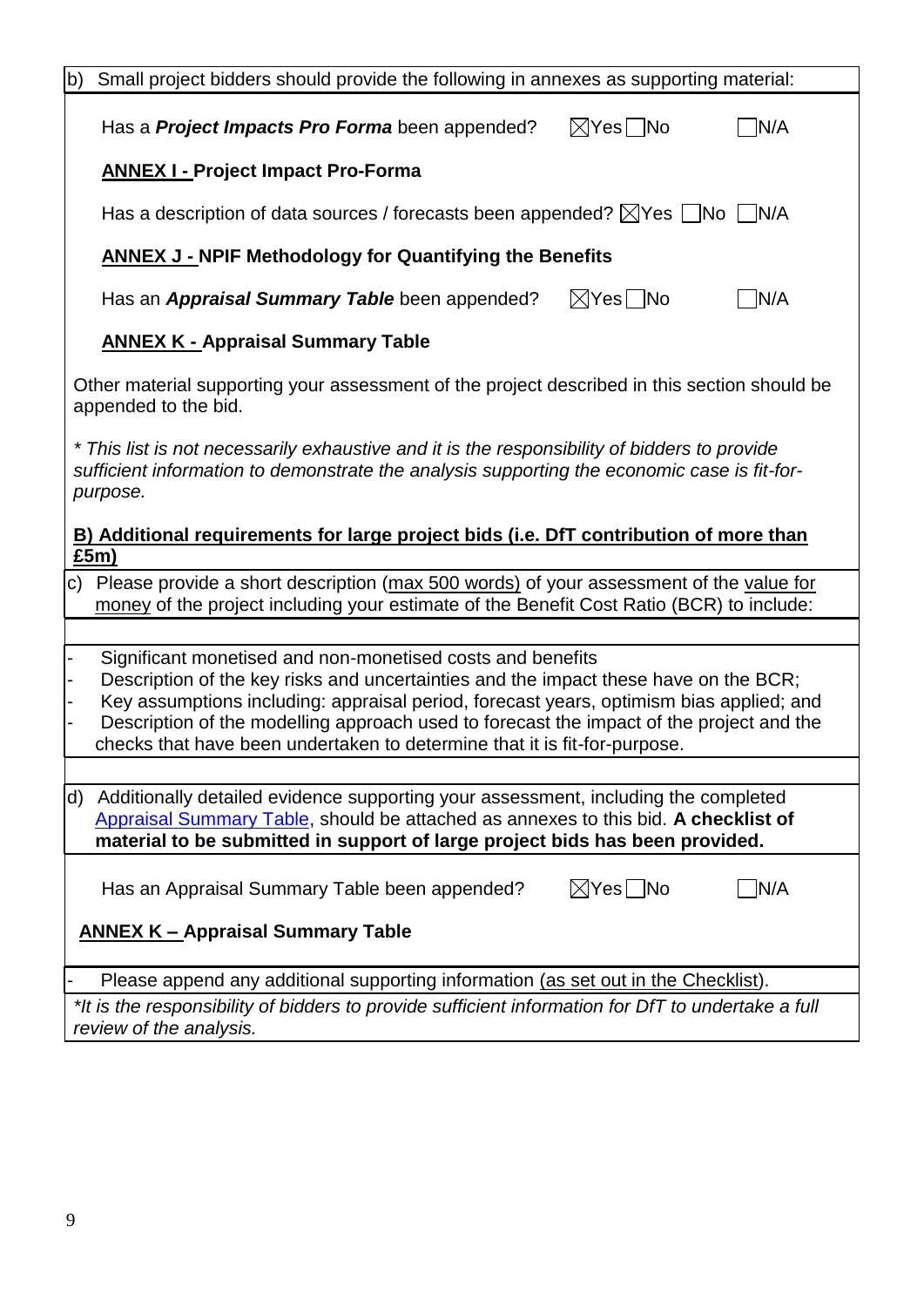| $\vert b \rangle$<br>Small project bidders should provide the following in annexes as supporting material:                                                                                                                                                                                                                                                                                                             |
|------------------------------------------------------------------------------------------------------------------------------------------------------------------------------------------------------------------------------------------------------------------------------------------------------------------------------------------------------------------------------------------------------------------------|
| N/A<br>$\boxtimes$ Yes $\Box$ No<br>Has a <b>Project Impacts Pro Forma</b> been appended?                                                                                                                                                                                                                                                                                                                              |
| <b>ANNEX I - Project Impact Pro-Forma</b>                                                                                                                                                                                                                                                                                                                                                                              |
| Has a description of data sources / forecasts been appended? $\boxtimes$ Yes $\Box$ No $\Box$ N/A                                                                                                                                                                                                                                                                                                                      |
| <b>ANNEX J - NPIF Methodology for Quantifying the Benefits</b>                                                                                                                                                                                                                                                                                                                                                         |
| $\boxtimes$ Yes $\Box$ No<br>N/A<br>Has an <b>Appraisal Summary Table</b> been appended?                                                                                                                                                                                                                                                                                                                               |
| <b>ANNEX K - Appraisal Summary Table</b>                                                                                                                                                                                                                                                                                                                                                                               |
| Other material supporting your assessment of the project described in this section should be<br>appended to the bid.                                                                                                                                                                                                                                                                                                   |
| * This list is not necessarily exhaustive and it is the responsibility of bidders to provide<br>sufficient information to demonstrate the analysis supporting the economic case is fit-for-<br>purpose.                                                                                                                                                                                                                |
| B) Additional requirements for large project bids (i.e. DfT contribution of more than<br>£5m)                                                                                                                                                                                                                                                                                                                          |
| c) Please provide a short description (max 500 words) of your assessment of the value for<br>money of the project including your estimate of the Benefit Cost Ratio (BCR) to include:                                                                                                                                                                                                                                  |
| Significant monetised and non-monetised costs and benefits<br>Description of the key risks and uncertainties and the impact these have on the BCR;<br>Key assumptions including: appraisal period, forecast years, optimism bias applied; and<br>Description of the modelling approach used to forecast the impact of the project and the<br>checks that have been undertaken to determine that it is fit-for-purpose. |
| d) Additionally detailed evidence supporting your assessment, including the completed<br>Appraisal Summary Table, should be attached as annexes to this bid. A checklist of<br>material to be submitted in support of large project bids has been provided.                                                                                                                                                            |
| $\boxtimes$ Yes $\Box$ No<br>N/A<br>Has an Appraisal Summary Table been appended?                                                                                                                                                                                                                                                                                                                                      |
| <b>ANNEX K - Appraisal Summary Table</b>                                                                                                                                                                                                                                                                                                                                                                               |
| Please append any additional supporting information (as set out in the Checklist).                                                                                                                                                                                                                                                                                                                                     |
| *It is the responsibility of bidders to provide sufficient information for DfT to undertake a full<br>review of the analysis.                                                                                                                                                                                                                                                                                          |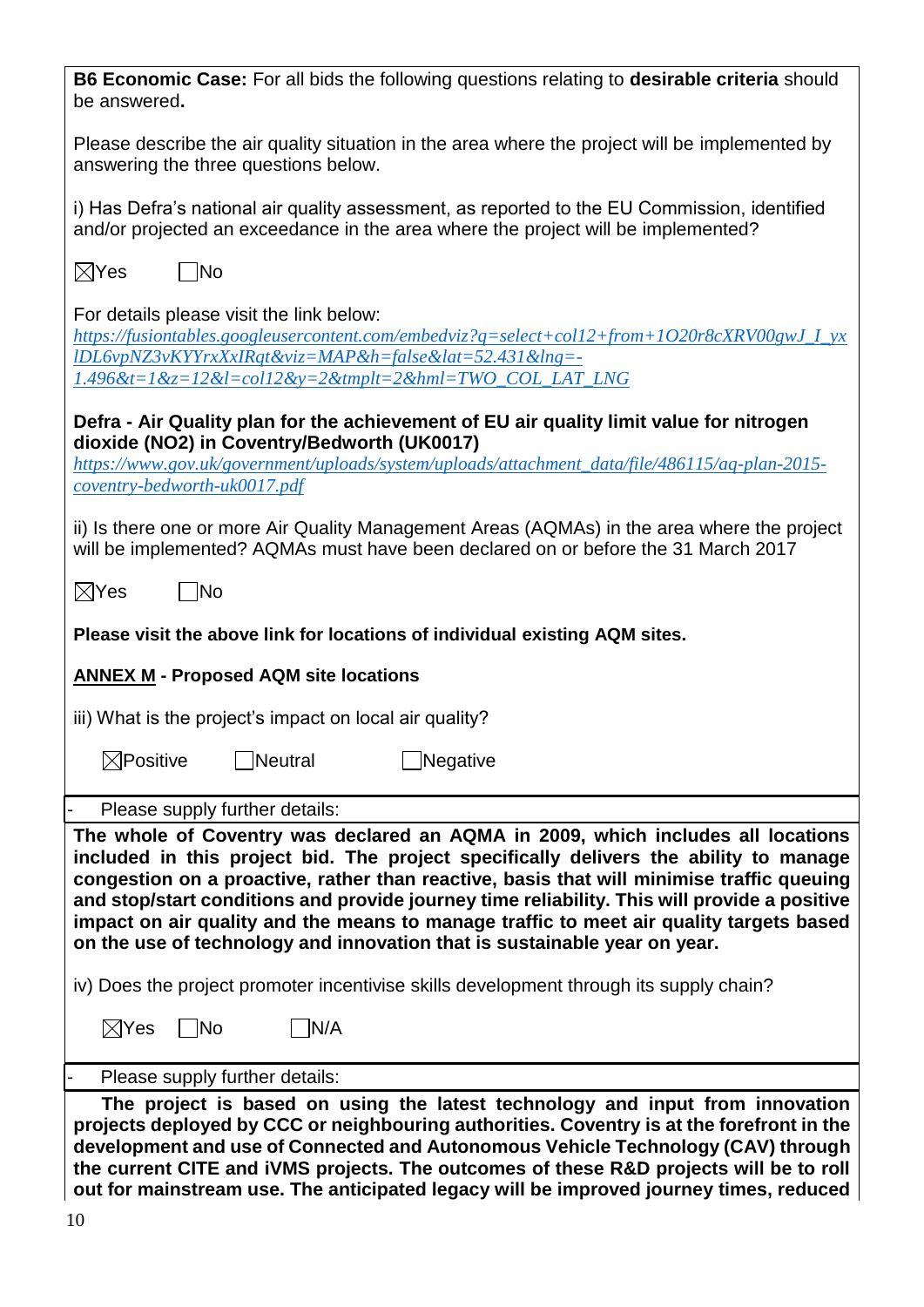| B6 Economic Case: For all bids the following questions relating to desirable criteria should<br>be answered.                                                                                                                                                                                                                                                                                                                                                                                                                                   |
|------------------------------------------------------------------------------------------------------------------------------------------------------------------------------------------------------------------------------------------------------------------------------------------------------------------------------------------------------------------------------------------------------------------------------------------------------------------------------------------------------------------------------------------------|
| Please describe the air quality situation in the area where the project will be implemented by<br>answering the three questions below.                                                                                                                                                                                                                                                                                                                                                                                                         |
| i) Has Defra's national air quality assessment, as reported to the EU Commission, identified<br>and/or projected an exceedance in the area where the project will be implemented?                                                                                                                                                                                                                                                                                                                                                              |
| $\boxtimes$ Yes<br>$\overline{\mathsf{No}}$                                                                                                                                                                                                                                                                                                                                                                                                                                                                                                    |
| For details please visit the link below:<br>https://fusiontables.googleusercontent.com/embedviz?q=select+col12+from+1O20r8cXRV00gwJ_I_yx<br>IDL6vpNZ3vKYYrxXxIRqt&viz=MAP&h=false⪫=52.431&lng=-<br>$1.496$ &t=1&z=12&l=col12&y=2&tmplt=2&hml=TWO_COL_LAT_LNG                                                                                                                                                                                                                                                                                   |
| Defra - Air Quality plan for the achievement of EU air quality limit value for nitrogen                                                                                                                                                                                                                                                                                                                                                                                                                                                        |
| dioxide (NO2) in Coventry/Bedworth (UK0017)<br>https://www.gov.uk/government/uploads/system/uploads/attachment_data/file/486115/aq-plan-2015-                                                                                                                                                                                                                                                                                                                                                                                                  |
| coventry-bedworth-uk0017.pdf                                                                                                                                                                                                                                                                                                                                                                                                                                                                                                                   |
| ii) Is there one or more Air Quality Management Areas (AQMAs) in the area where the project<br>will be implemented? AQMAs must have been declared on or before the 31 March 2017                                                                                                                                                                                                                                                                                                                                                               |
| $\boxtimes$ Yes<br><b>No</b>                                                                                                                                                                                                                                                                                                                                                                                                                                                                                                                   |
| Please visit the above link for locations of individual existing AQM sites.                                                                                                                                                                                                                                                                                                                                                                                                                                                                    |
| <b>ANNEX M - Proposed AQM site locations</b>                                                                                                                                                                                                                                                                                                                                                                                                                                                                                                   |
| iii) What is the project's impact on local air quality?                                                                                                                                                                                                                                                                                                                                                                                                                                                                                        |
| $\boxtimes$ Positive Meutral<br>■Negative                                                                                                                                                                                                                                                                                                                                                                                                                                                                                                      |
| Please supply further details:                                                                                                                                                                                                                                                                                                                                                                                                                                                                                                                 |
| The whole of Coventry was declared an AQMA in 2009, which includes all locations<br>included in this project bid. The project specifically delivers the ability to manage<br>congestion on a proactive, rather than reactive, basis that will minimise traffic queuing<br>and stop/start conditions and provide journey time reliability. This will provide a positive<br>impact on air quality and the means to manage traffic to meet air quality targets based<br>on the use of technology and innovation that is sustainable year on year. |
| iv) Does the project promoter incentivise skills development through its supply chain?                                                                                                                                                                                                                                                                                                                                                                                                                                                         |
| $\boxtimes$ Yes<br>N/A<br> No                                                                                                                                                                                                                                                                                                                                                                                                                                                                                                                  |
| Please supply further details:                                                                                                                                                                                                                                                                                                                                                                                                                                                                                                                 |
| The project is based on using the latest technology and input from innovation<br>projects deployed by CCC or neighbouring authorities. Coventry is at the forefront in the<br>development and use of Connected and Autonomous Vehicle Technology (CAV) through<br>the current CITE and iVMS projects. The outcomes of these R&D projects will be to roll<br>out for mainstream use. The anticipated legacy will be improved journey times, reduced                                                                                             |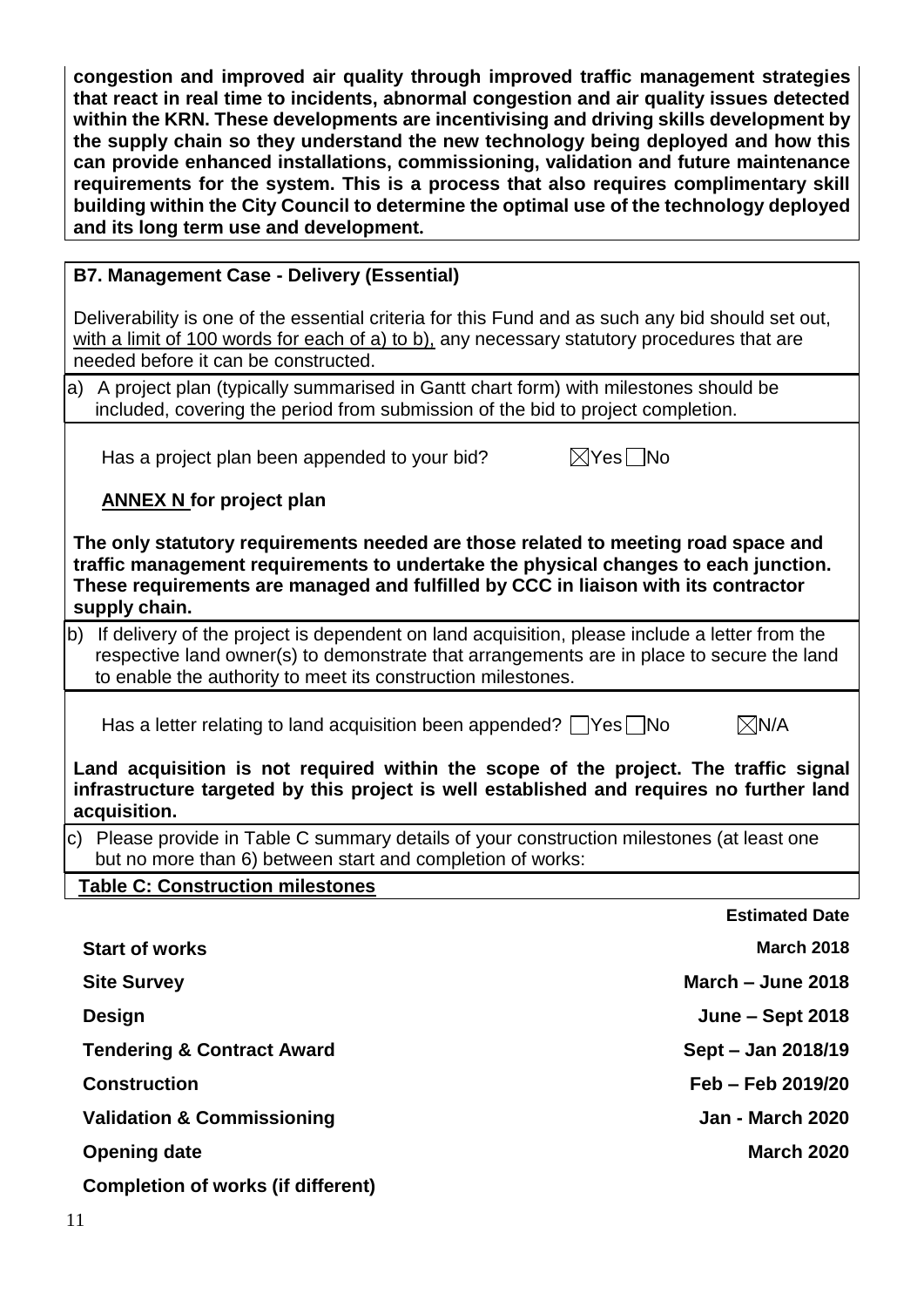**congestion and improved air quality through improved traffic management strategies that react in real time to incidents, abnormal congestion and air quality issues detected within the KRN. These developments are incentivising and driving skills development by the supply chain so they understand the new technology being deployed and how this can provide enhanced installations, commissioning, validation and future maintenance requirements for the system. This is a process that also requires complimentary skill building within the City Council to determine the optimal use of the technology deployed and its long term use and development.**

#### **B7. Management Case - Delivery (Essential)**

Deliverability is one of the essential criteria for this Fund and as such any bid should set out, with a limit of 100 words for each of a) to b), any necessary statutory procedures that are needed before it can be constructed.

a) A project plan (typically summarised in Gantt chart form) with milestones should be included, covering the period from submission of the bid to project completion.

Has a project plan been appended to your bid?  $\boxtimes$  Yes  $\Box$  No

## **ANNEX N for project plan**

**The only statutory requirements needed are those related to meeting road space and traffic management requirements to undertake the physical changes to each junction. These requirements are managed and fulfilled by CCC in liaison with its contractor supply chain.**

b) If delivery of the project is dependent on land acquisition, please include a letter from the respective land owner(s) to demonstrate that arrangements are in place to secure the land to enable the authority to meet its construction milestones.

Has a letter relating to land acquisition been appended?  $\Box$ Yes  $\Box$ No  $\Box$   $\boxtimes$ N/A

**Estimated Date**

**Land acquisition is not required within the scope of the project. The traffic signal infrastructure targeted by this project is well established and requires no further land acquisition.**

c) Please provide in Table C summary details of your construction milestones (at least one but no more than 6) between start and completion of works:

**Table C: Construction milestones**

| <b>Start of works</b>                     | <b>March 2018</b>       |
|-------------------------------------------|-------------------------|
| <b>Site Survey</b>                        | March $-$ June 2018     |
| <b>Design</b>                             | <b>June – Sept 2018</b> |
| <b>Tendering &amp; Contract Award</b>     | Sept - Jan 2018/19      |
| <b>Construction</b>                       | Feb - Feb 2019/20       |
| <b>Validation &amp; Commissioning</b>     | <b>Jan - March 2020</b> |
| <b>Opening date</b>                       | <b>March 2020</b>       |
| <b>Completion of works (if different)</b> |                         |
|                                           |                         |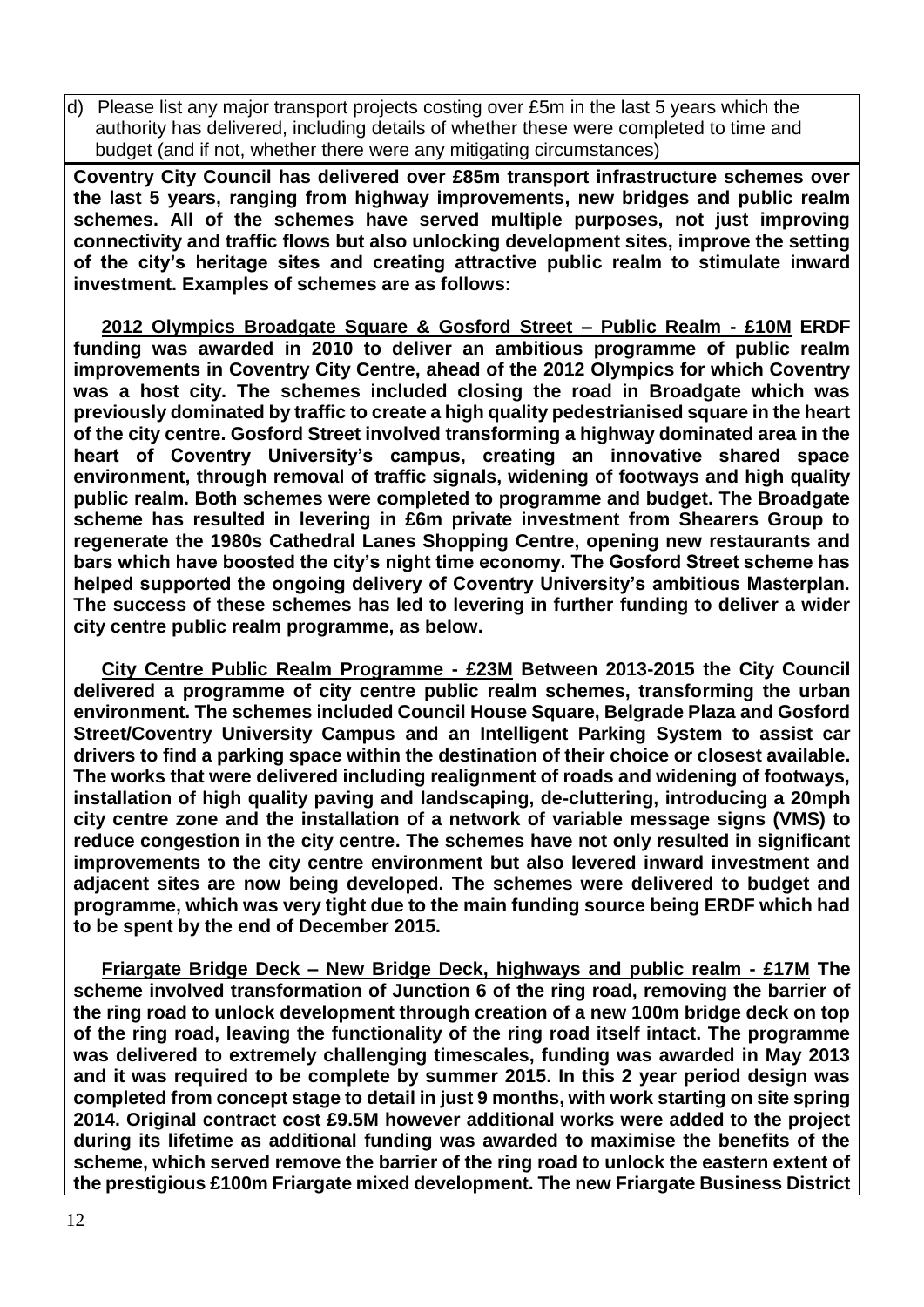d) Please list any major transport projects costing over £5m in the last 5 years which the authority has delivered, including details of whether these were completed to time and budget (and if not, whether there were any mitigating circumstances)

**Coventry City Council has delivered over £85m transport infrastructure schemes over the last 5 years, ranging from highway improvements, new bridges and public realm schemes. All of the schemes have served multiple purposes, not just improving connectivity and traffic flows but also unlocking development sites, improve the setting of the city's heritage sites and creating attractive public realm to stimulate inward investment. Examples of schemes are as follows:**

**2012 Olympics Broadgate Square & Gosford Street – Public Realm - £10M ERDF funding was awarded in 2010 to deliver an ambitious programme of public realm improvements in Coventry City Centre, ahead of the 2012 Olympics for which Coventry was a host city. The schemes included closing the road in Broadgate which was previously dominated by traffic to create a high quality pedestrianised square in the heart of the city centre. Gosford Street involved transforming a highway dominated area in the heart of Coventry University's campus, creating an innovative shared space environment, through removal of traffic signals, widening of footways and high quality public realm. Both schemes were completed to programme and budget. The Broadgate scheme has resulted in levering in £6m private investment from Shearers Group to regenerate the 1980s Cathedral Lanes Shopping Centre, opening new restaurants and bars which have boosted the city's night time economy. The Gosford Street scheme has helped supported the ongoing delivery of Coventry University's ambitious Masterplan. The success of these schemes has led to levering in further funding to deliver a wider city centre public realm programme, as below.**

**City Centre Public Realm Programme - £23M Between 2013-2015 the City Council delivered a programme of city centre public realm schemes, transforming the urban environment. The schemes included Council House Square, Belgrade Plaza and Gosford Street/Coventry University Campus and an Intelligent Parking System to assist car drivers to find a parking space within the destination of their choice or closest available. The works that were delivered including realignment of roads and widening of footways, installation of high quality paving and landscaping, de-cluttering, introducing a 20mph city centre zone and the installation of a network of variable message signs (VMS) to reduce congestion in the city centre. The schemes have not only resulted in significant improvements to the city centre environment but also levered inward investment and adjacent sites are now being developed. The schemes were delivered to budget and programme, which was very tight due to the main funding source being ERDF which had to be spent by the end of December 2015.**

**Friargate Bridge Deck – New Bridge Deck, highways and public realm - £17M The scheme involved transformation of Junction 6 of the ring road, removing the barrier of the ring road to unlock development through creation of a new 100m bridge deck on top of the ring road, leaving the functionality of the ring road itself intact. The programme was delivered to extremely challenging timescales, funding was awarded in May 2013 and it was required to be complete by summer 2015. In this 2 year period design was completed from concept stage to detail in just 9 months, with work starting on site spring 2014. Original contract cost £9.5M however additional works were added to the project during its lifetime as additional funding was awarded to maximise the benefits of the scheme, which served remove the barrier of the ring road to unlock the eastern extent of the prestigious £100m Friargate mixed development. The new Friargate Business District**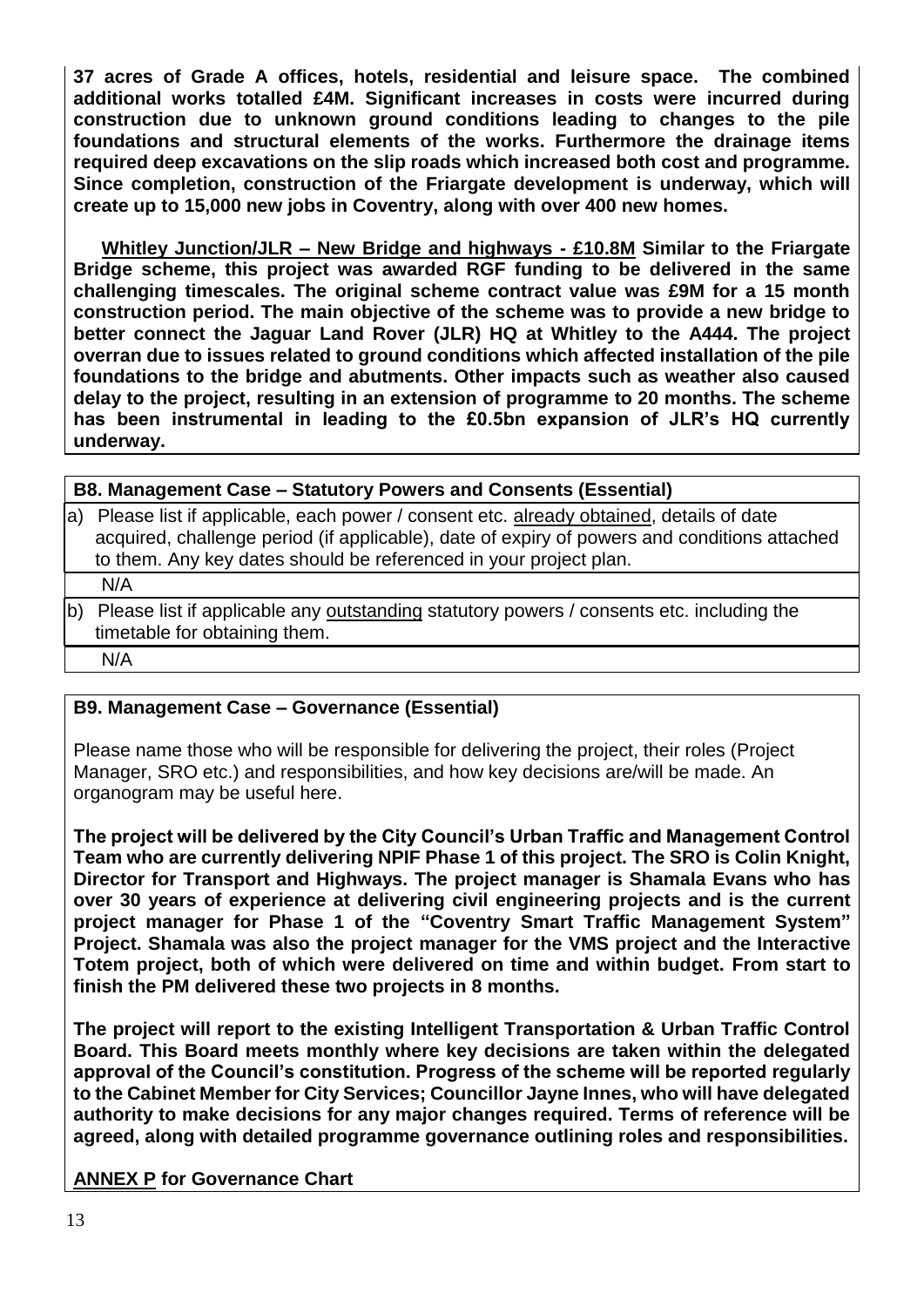**37 acres of Grade A offices, hotels, residential and leisure space. The combined additional works totalled £4M. Significant increases in costs were incurred during construction due to unknown ground conditions leading to changes to the pile foundations and structural elements of the works. Furthermore the drainage items required deep excavations on the slip roads which increased both cost and programme. Since completion, construction of the Friargate development is underway, which will create up to 15,000 new jobs in Coventry, along with over 400 new homes.**

**Whitley Junction/JLR – New Bridge and highways - £10.8M Similar to the Friargate Bridge scheme, this project was awarded RGF funding to be delivered in the same challenging timescales. The original scheme contract value was £9M for a 15 month construction period. The main objective of the scheme was to provide a new bridge to better connect the Jaguar Land Rover (JLR) HQ at Whitley to the A444. The project overran due to issues related to ground conditions which affected installation of the pile foundations to the bridge and abutments. Other impacts such as weather also caused delay to the project, resulting in an extension of programme to 20 months. The scheme has been instrumental in leading to the £0.5bn expansion of JLR's HQ currently underway.**

**B8. Management Case – Statutory Powers and Consents (Essential)**

a) Please list if applicable, each power / consent etc. already obtained, details of date acquired, challenge period (if applicable), date of expiry of powers and conditions attached to them. Any key dates should be referenced in your project plan.

N/A

b) Please list if applicable any outstanding statutory powers / consents etc. including the timetable for obtaining them.

N/A

#### **B9. Management Case – Governance (Essential)**

Please name those who will be responsible for delivering the project, their roles (Project Manager, SRO etc.) and responsibilities, and how key decisions are/will be made. An organogram may be useful here.

**The project will be delivered by the City Council's Urban Traffic and Management Control Team who are currently delivering NPIF Phase 1 of this project. The SRO is Colin Knight, Director for Transport and Highways. The project manager is Shamala Evans who has over 30 years of experience at delivering civil engineering projects and is the current project manager for Phase 1 of the "Coventry Smart Traffic Management System" Project. Shamala was also the project manager for the VMS project and the Interactive Totem project, both of which were delivered on time and within budget. From start to finish the PM delivered these two projects in 8 months.**

**The project will report to the existing Intelligent Transportation & Urban Traffic Control Board. This Board meets monthly where key decisions are taken within the delegated approval of the Council's constitution. Progress of the scheme will be reported regularly to the Cabinet Member for City Services; Councillor Jayne Innes, who will have delegated authority to make decisions for any major changes required. Terms of reference will be agreed, along with detailed programme governance outlining roles and responsibilities.**

**ANNEX P for Governance Chart**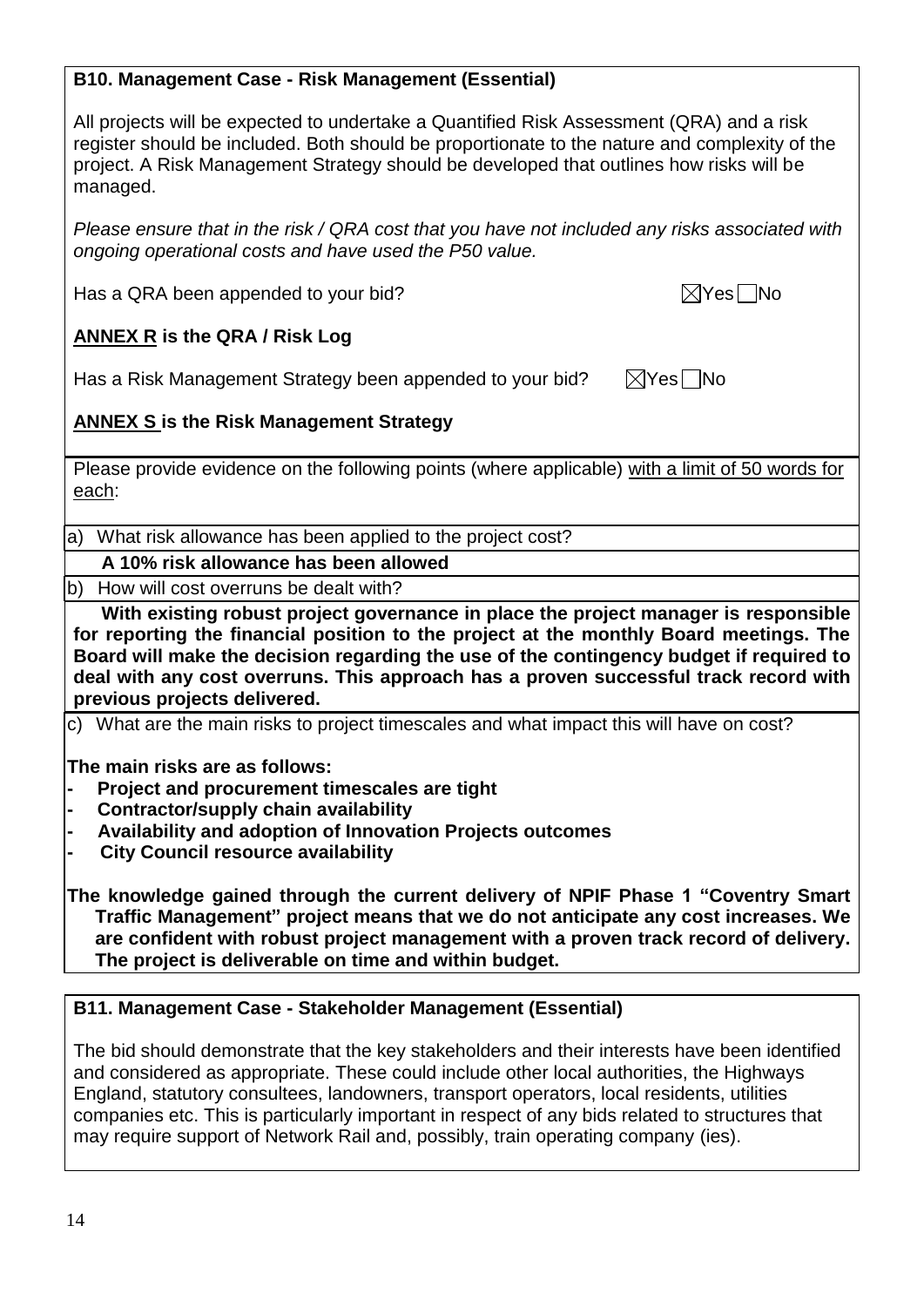#### **B10. Management Case - Risk Management (Essential)**

All projects will be expected to undertake a Quantified Risk Assessment (QRA) and a risk register should be included. Both should be proportionate to the nature and complexity of the project. A Risk Management Strategy should be developed that outlines how risks will be managed.

*Please ensure that in the risk / QRA cost that you have not included any risks associated with ongoing operational costs and have used the P50 value.*

Has a QRA been appended to your bid?  $\boxtimes$  Yes  $\Box$  No

## **ANNEX R is the QRA / Risk Log**

Has a Risk Management Strategy been appended to your bid?  $\boxtimes$  Yes  $\Box$  No

## **ANNEX S is the Risk Management Strategy**

Please provide evidence on the following points (where applicable) with a limit of 50 words for each:

a) What risk allowance has been applied to the project cost?

#### **A 10% risk allowance has been allowed**

b) How will cost overruns be dealt with?

**With existing robust project governance in place the project manager is responsible for reporting the financial position to the project at the monthly Board meetings. The Board will make the decision regarding the use of the contingency budget if required to deal with any cost overruns. This approach has a proven successful track record with previous projects delivered.** 

c) What are the main risks to project timescales and what impact this will have on cost?

**The main risks are as follows:**

- **- Project and procurement timescales are tight**
- **- Contractor/supply chain availability**
- **- Availability and adoption of Innovation Projects outcomes**
- **- City Council resource availability**

**The knowledge gained through the current delivery of NPIF Phase 1 "Coventry Smart Traffic Management" project means that we do not anticipate any cost increases. We are confident with robust project management with a proven track record of delivery. The project is deliverable on time and within budget.** 

#### **B11. Management Case - Stakeholder Management (Essential)**

The bid should demonstrate that the key stakeholders and their interests have been identified and considered as appropriate. These could include other local authorities, the Highways England, statutory consultees, landowners, transport operators, local residents, utilities companies etc. This is particularly important in respect of any bids related to structures that may require support of Network Rail and, possibly, train operating company (ies).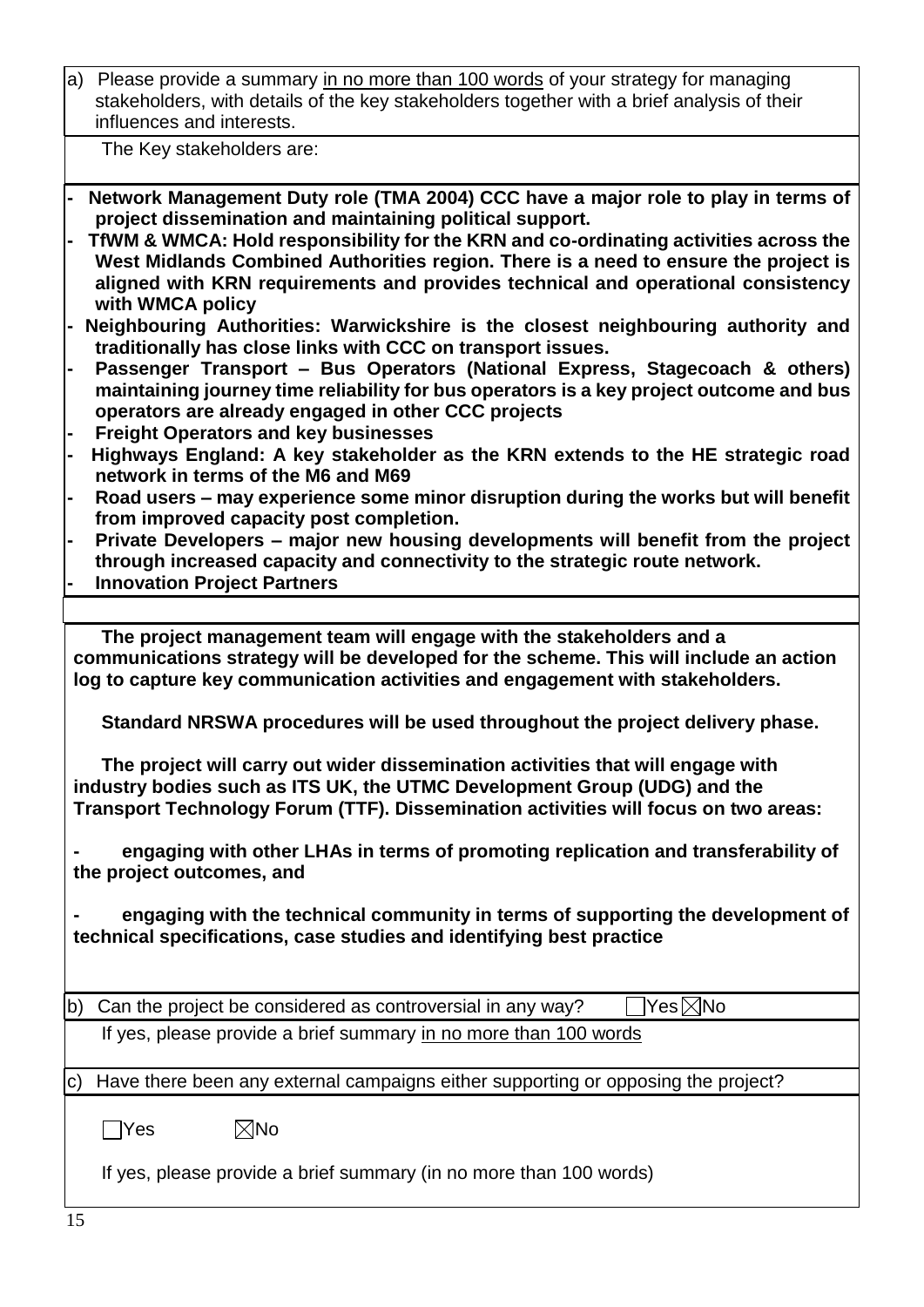| a) Please provide a summary in no more than 100 words of your strategy for managing        |
|--------------------------------------------------------------------------------------------|
| stakeholders, with details of the key stakeholders together with a brief analysis of their |
| influences and interests.                                                                  |

The Key stakeholders are:

- **- Network Management Duty role (TMA 2004) CCC have a major role to play in terms of project dissemination and maintaining political support.**
- **- TfWM & WMCA: Hold responsibility for the KRN and co-ordinating activities across the West Midlands Combined Authorities region. There is a need to ensure the project is aligned with KRN requirements and provides technical and operational consistency with WMCA policy**
- **- Neighbouring Authorities: Warwickshire is the closest neighbouring authority and traditionally has close links with CCC on transport issues.**
- **- Passenger Transport – Bus Operators (National Express, Stagecoach & others) maintaining journey time reliability for bus operators is a key project outcome and bus operators are already engaged in other CCC projects**
- **- Freight Operators and key businesses**
- **- Highways England: A key stakeholder as the KRN extends to the HE strategic road network in terms of the M6 and M69**
- **- Road users – may experience some minor disruption during the works but will benefit from improved capacity post completion.**
- **- Private Developers – major new housing developments will benefit from the project through increased capacity and connectivity to the strategic route network.**
- **- Innovation Project Partners**

**The project management team will engage with the stakeholders and a communications strategy will be developed for the scheme. This will include an action log to capture key communication activities and engagement with stakeholders.**

**Standard NRSWA procedures will be used throughout the project delivery phase.**

**The project will carry out wider dissemination activities that will engage with industry bodies such as ITS UK, the UTMC Development Group (UDG) and the Transport Technology Forum (TTF). Dissemination activities will focus on two areas:**

**- engaging with other LHAs in terms of promoting replication and transferability of the project outcomes, and**

**- engaging with the technical community in terms of supporting the development of technical specifications, case studies and identifying best practice**

b) Can the project be considered as controversial in any way?  $\Box$  Yes  $\boxtimes$  No If yes, please provide a brief summary in no more than 100 words

c) Have there been any external campaigns either supporting or opposing the project?

 $\Box$ Yes  $\boxtimes$ No

If yes, please provide a brief summary (in no more than 100 words)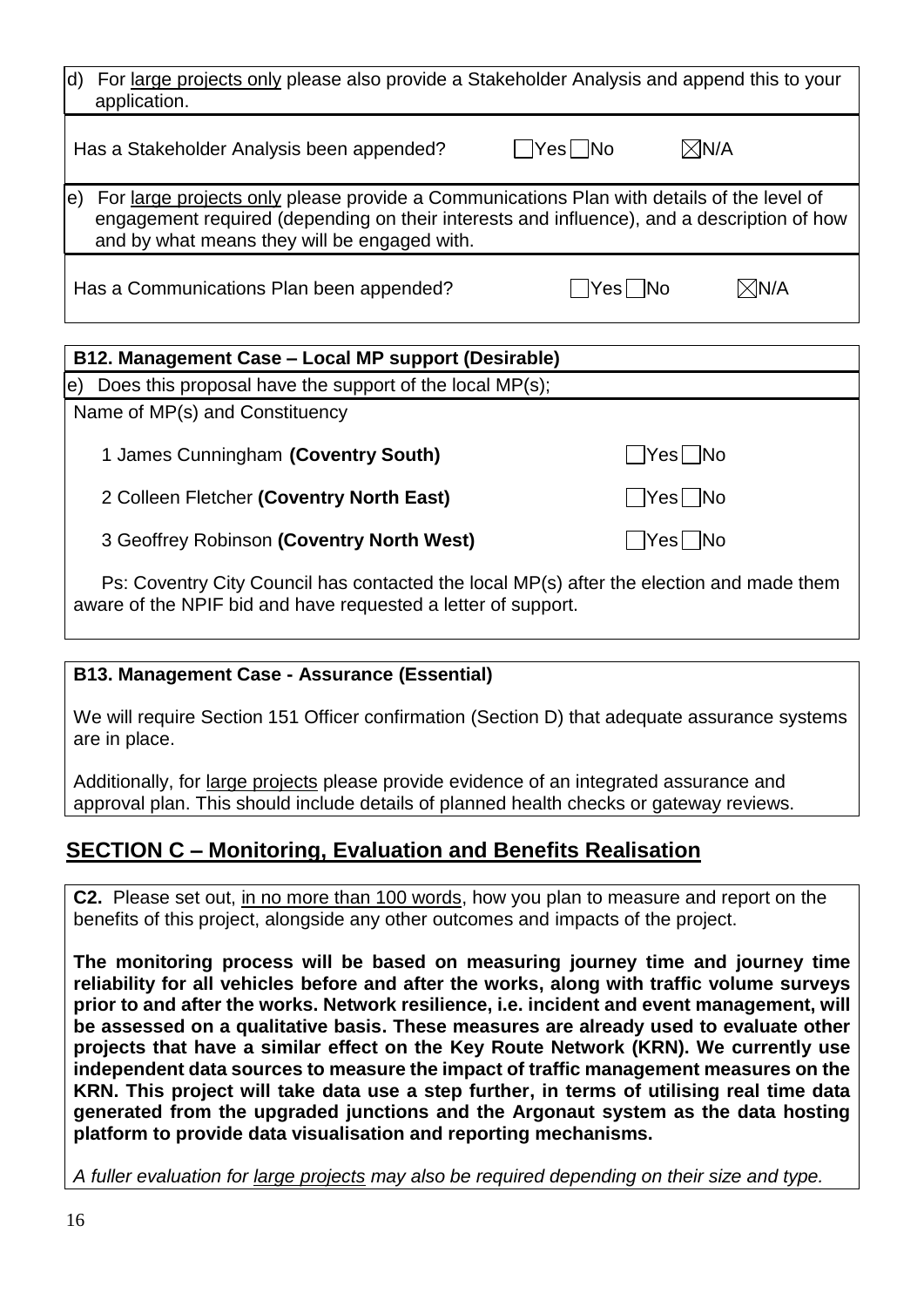| For large projects only please also provide a Stakeholder Analysis and append this to your<br>d)<br>application.                                                                                                                              |                             |                 |
|-----------------------------------------------------------------------------------------------------------------------------------------------------------------------------------------------------------------------------------------------|-----------------------------|-----------------|
| Has a Stakeholder Analysis been appended?                                                                                                                                                                                                     | $\boxtimes$ n/a<br>Yes   No |                 |
| For large projects only please provide a Communications Plan with details of the level of<br>e)<br>engagement required (depending on their interests and influence), and a description of how<br>and by what means they will be engaged with. |                             |                 |
| Has a Communications Plan been appended?                                                                                                                                                                                                      | Yes   No                    | $\boxtimes$ n/a |
| B12. Management Case – Local MP support (Desirable)                                                                                                                                                                                           |                             |                 |
| Does this proposal have the support of the local MP(s);<br>e)                                                                                                                                                                                 |                             |                 |
| Name of MP(s) and Constituency                                                                                                                                                                                                                |                             |                 |
| 1 James Cunningham (Coventry South)                                                                                                                                                                                                           | Yesl                        |                 |

2 Colleen Fletcher (Coventry North East) Mo **Note 1, 198 No** 

3 Geoffrey Robinson (Coventry North West) Manual Messengler Control of No

Ps: Coventry City Council has contacted the local MP(s) after the election and made them aware of the NPIF bid and have requested a letter of support.

## **B13. Management Case - Assurance (Essential)**

We will require Section 151 Officer confirmation (Section D) that adequate assurance systems are in place.

Additionally, for large projects please provide evidence of an integrated assurance and approval plan. This should include details of planned health checks or gateway reviews.

# **SECTION C – Monitoring, Evaluation and Benefits Realisation**

**C2.** Please set out, in no more than 100 words, how you plan to measure and report on the benefits of this project, alongside any other outcomes and impacts of the project.

**The monitoring process will be based on measuring journey time and journey time reliability for all vehicles before and after the works, along with traffic volume surveys prior to and after the works. Network resilience, i.e. incident and event management, will be assessed on a qualitative basis. These measures are already used to evaluate other projects that have a similar effect on the Key Route Network (KRN). We currently use independent data sources to measure the impact of traffic management measures on the KRN. This project will take data use a step further, in terms of utilising real time data generated from the upgraded junctions and the Argonaut system as the data hosting platform to provide data visualisation and reporting mechanisms.**

*A fuller evaluation for large projects may also be required depending on their size and type.*